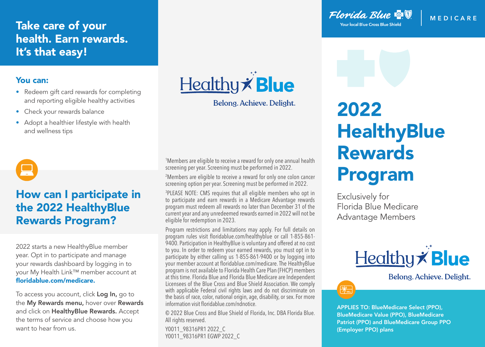## Take care of your health. Earn rewards. It's that easy!

#### You can:

- Redeem gift card rewards for completing and reporting eligible healthy activities
- Check your rewards balance
- Adopt a healthier lifestyle with health and wellness tips



# How can I participate in the 2022 HealthyBlue Rewards Program?

2022 starts a new HealthyBlue member year. Opt in to participate and manage your rewards dashboard by logging in to your My Health Link™ member account at floridablue.com/medicare.

To access you account, click Log In, go to the My Rewards menu, hover over Rewards and click on HealthyBlue Rewards. Accept the terms of service and choose how you want to hear from us.



Belong, Achieve, Delight.

1 Members are eligible to receive a reward for only one annual health screening per year. Screening must be performed in 2022.

2 Members are eligible to receive a reward for only one colon cancer screening option per year. Screening must be performed in 2022.

3 PLEASE NOTE: CMS requires that all eligible members who opt in to participate and earn rewards in a Medicare Advantage rewards program must redeem all rewards no later than December 31 of the current year and any unredeemed rewards earned in 2022 will not be eligible for redemption in 2023.

Program restrictions and limitations may apply. For full details on program rules visit floridablue.com/healthyblue or call 1-855-861- 9400. Participation in HealthyBlue is voluntary and offered at no cost to you. In order to redeem your earned rewards, you must opt in to participate by either calling us 1-855-861-9400 or by logging into your member account at floridablue.com/medicare. The HealthyBlue program is not available to Florida Health Care Plan (FHCP) members at this time. Florida Blue and Florida Blue Medicare are Independent Licensees of the Blue Cross and Blue Shield Association. We comply with applicable Federal civil rights laws and do not discriminate on the basis of race, color, national origin, age, disability, or sex. For more information visit floridablue.com/ndnotice.

© 2022 Blue Cross and Blue Shield of Florida, Inc. DBA Florida Blue. All rights reserved.

Y0011\_98316PR1 2022\_C Y0011\_98316PR1 EGWP 2022\_C Florida Blue **& V Your local Blue Cross Blue Shield** 

**MEDIC ARE**

# 2022 **HealthyBlue** Rewards Program

Exclusively for Florida Blue Medicare Advantage Members

 $\mathcal{R}_{-}$ 



Belong. Achieve. Delight.

APPLIES TO: BlueMedicare Select (PPO), BlueMedicare Value (PPO), BlueMedicare Patriot (PPO) and BlueMedicare Group PPO (Employer PPO) plans